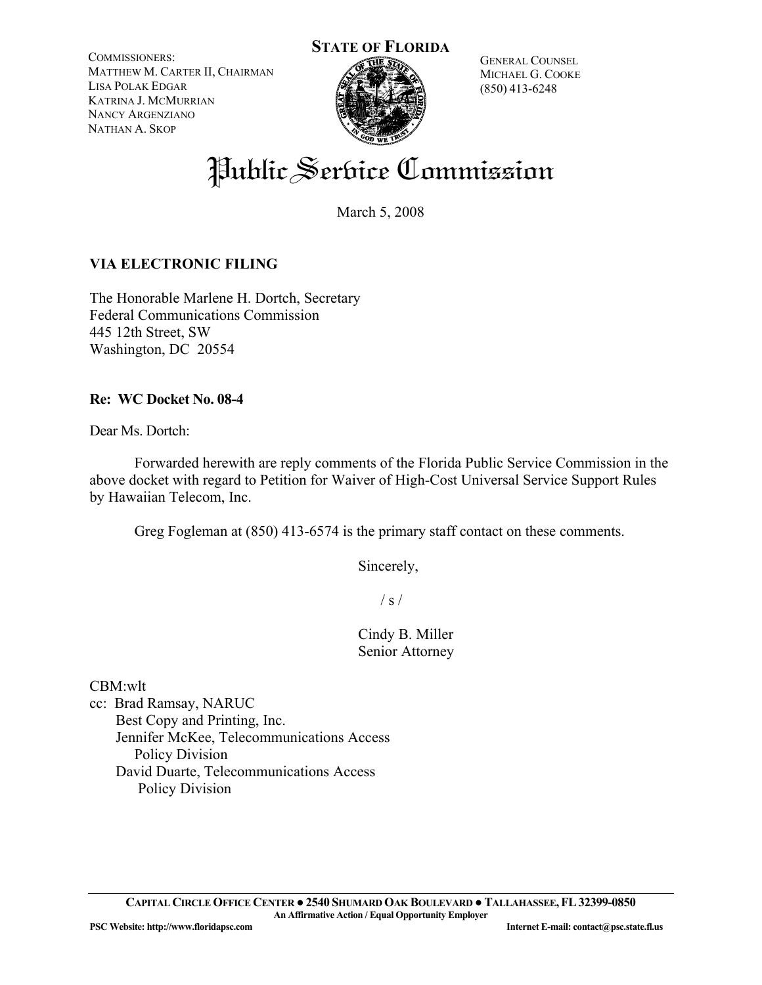COMMISSIONERS: MATTHEW M. CARTER II, CHAIRMAN LISA POLAK EDGAR KATRINA J. MCMURRIAN NANCY ARGENZIANO NATHAN A. SKOP



GENERAL COUNSEL MICHAEL G. COOKE (850) 413-6248

# Public Serbice Commission

March 5, 2008

### **VIA ELECTRONIC FILING**

The Honorable Marlene H. Dortch, Secretary Federal Communications Commission 445 12th Street, SW Washington, DC 20554

#### **Re: WC Docket No. 08-4**

Dear Ms. Dortch:

 Forwarded herewith are reply comments of the Florida Public Service Commission in the above docket with regard to Petition for Waiver of High-Cost Universal Service Support Rules by Hawaiian Telecom, Inc.

Greg Fogleman at (850) 413-6574 is the primary staff contact on these comments.

Sincerely,

 $\frac{1}{s}$  /

 Cindy B. Miller Senior Attorney

CBM:wlt

cc: Brad Ramsay, NARUC Best Copy and Printing, Inc. Jennifer McKee, Telecommunications Access Policy Division David Duarte, Telecommunications Access Policy Division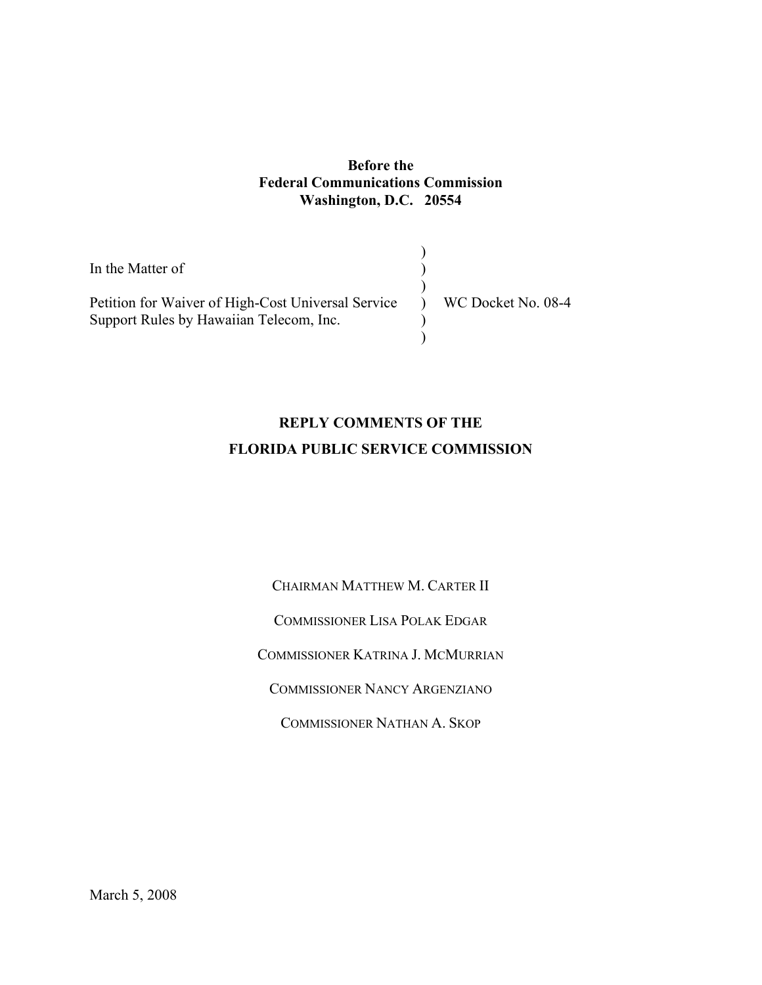#### **Before the Federal Communications Commission Washington, D.C. 20554**

| In the Matter of                                                                                                   |  |
|--------------------------------------------------------------------------------------------------------------------|--|
| Petition for Waiver of High-Cost Universal Service ) WC Docket No. 08-4<br>Support Rules by Hawaiian Telecom, Inc. |  |

## **REPLY COMMENTS OF THE FLORIDA PUBLIC SERVICE COMMISSION**

CHAIRMAN MATTHEW M. CARTER II COMMISSIONER LISA POLAK EDGAR COMMISSIONER KATRINA J. MCMURRIAN COMMISSIONER NANCY ARGENZIANO COMMISSIONER NATHAN A. SKOP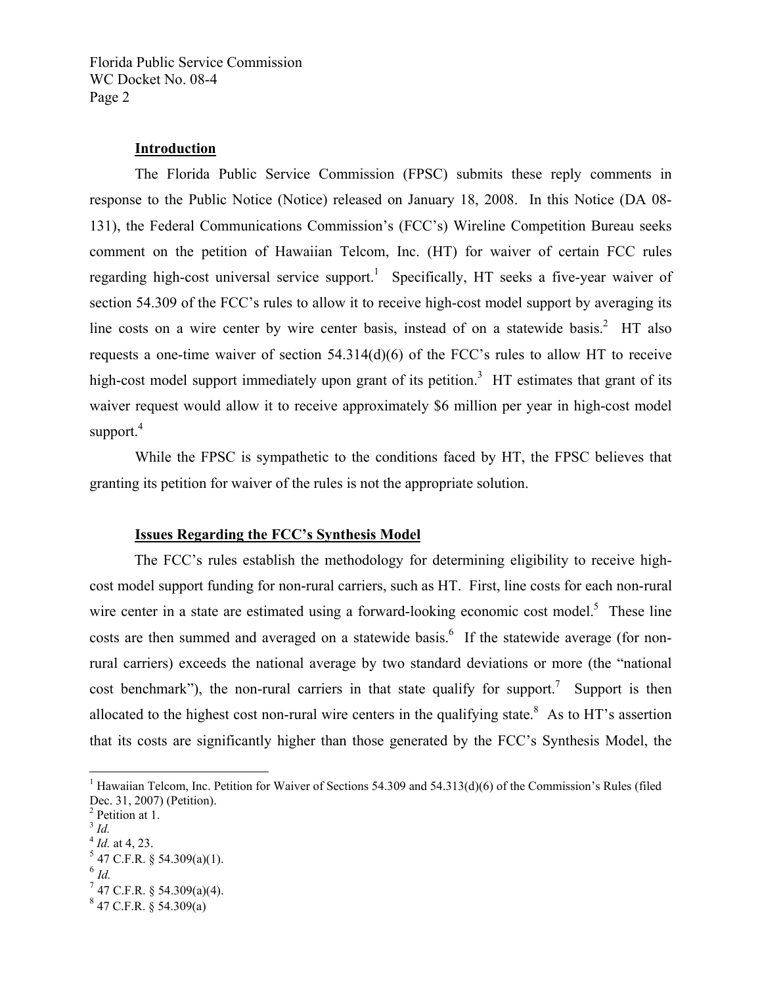#### **Introduction**

 The Florida Public Service Commission (FPSC) submits these reply comments in response to the Public Notice (Notice) released on January 18, 2008. In this Notice (DA 08- 131), the Federal Communications Commission's (FCC's) Wireline Competition Bureau seeks comment on the petition of Hawaiian Telcom, Inc. (HT) for waiver of certain FCC rules regarding high-cost universal service support.<sup>1</sup> Specifically, HT seeks a five-year waiver of section 54.309 of the FCC's rules to allow it to receive high-cost model support by averaging its line costs on a wire center by wire center basis, instead of on a statewide basis.<sup>2</sup> HT also requests a one-time waiver of section 54.314(d)(6) of the FCC's rules to allow HT to receive high-cost model support immediately upon grant of its petition.<sup>3</sup> HT estimates that grant of its waiver request would allow it to receive approximately \$6 million per year in high-cost model support. $4$ 

 While the FPSC is sympathetic to the conditions faced by HT, the FPSC believes that granting its petition for waiver of the rules is not the appropriate solution.

#### **Issues Regarding the FCC's Synthesis Model**

 The FCC's rules establish the methodology for determining eligibility to receive highcost model support funding for non-rural carriers, such as HT. First, line costs for each non-rural wire center in a state are estimated using a forward-looking economic cost model.<sup>5</sup> These line costs are then summed and averaged on a statewide basis.<sup>6</sup> If the statewide average (for nonrural carriers) exceeds the national average by two standard deviations or more (the "national cost benchmark"), the non-rural carriers in that state qualify for support.<sup>7</sup> Support is then allocated to the highest cost non-rural wire centers in the qualifying state.<sup>8</sup> As to HT's assertion that its costs are significantly higher than those generated by the FCC's Synthesis Model, the

 $\frac{3}{1}$  *Id.* 

 $\overline{a}$ 

 $^6$  *Id.* 

<sup>&</sup>lt;sup>1</sup> Hawaiian Telcom, Inc. Petition for Waiver of Sections 54.309 and 54.313(d)(6) of the Commission's Rules (filed Dec. 31, 2007) (Petition).

<sup>&</sup>lt;sup>2</sup> Petition at 1.

 $4$  *Id.* at 4, 23.

 $5$  47 C.F.R. § 54.309(a)(1).

 $7$  47 C.F.R. § 54.309(a)(4).

 $847$  C.F.R. § 54.309(a)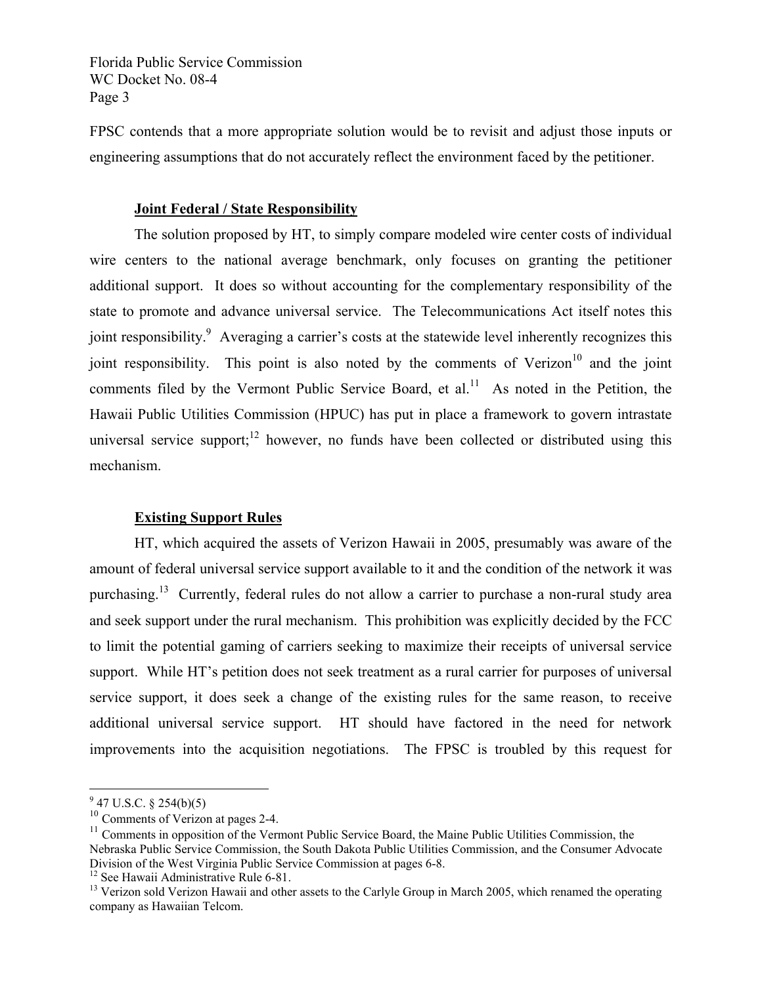FPSC contends that a more appropriate solution would be to revisit and adjust those inputs or engineering assumptions that do not accurately reflect the environment faced by the petitioner.

#### **Joint Federal / State Responsibility**

 The solution proposed by HT, to simply compare modeled wire center costs of individual wire centers to the national average benchmark, only focuses on granting the petitioner additional support. It does so without accounting for the complementary responsibility of the state to promote and advance universal service. The Telecommunications Act itself notes this joint responsibility.<sup>9</sup> Averaging a carrier's costs at the statewide level inherently recognizes this joint responsibility. This point is also noted by the comments of Verizon<sup>10</sup> and the joint comments filed by the Vermont Public Service Board, et al.<sup>11</sup> As noted in the Petition, the Hawaii Public Utilities Commission (HPUC) has put in place a framework to govern intrastate universal service support;<sup>12</sup> however, no funds have been collected or distributed using this mechanism.

#### **Existing Support Rules**

 HT, which acquired the assets of Verizon Hawaii in 2005, presumably was aware of the amount of federal universal service support available to it and the condition of the network it was purchasing.<sup>13</sup> Currently, federal rules do not allow a carrier to purchase a non-rural study area and seek support under the rural mechanism. This prohibition was explicitly decided by the FCC to limit the potential gaming of carriers seeking to maximize their receipts of universal service support. While HT's petition does not seek treatment as a rural carrier for purposes of universal service support, it does seek a change of the existing rules for the same reason, to receive additional universal service support. HT should have factored in the need for network improvements into the acquisition negotiations. The FPSC is troubled by this request for

 $\overline{a}$ 

 $9^9$  47 U.S.C. § 254(b)(5)

<sup>&</sup>lt;sup>10</sup> Comments of Verizon at pages 2-4.

 $11$  Comments in opposition of the Vermont Public Service Board, the Maine Public Utilities Commission, the Nebraska Public Service Commission, the South Dakota Public Utilities Commission, and the Consumer Advocate Division of the West Virginia Public Service Commission at pages 6-8.

<sup>&</sup>lt;sup>12</sup> See Hawaii Administrative Rule 6-81.

<sup>&</sup>lt;sup>13</sup> Verizon sold Verizon Hawaii and other assets to the Carlyle Group in March 2005, which renamed the operating company as Hawaiian Telcom.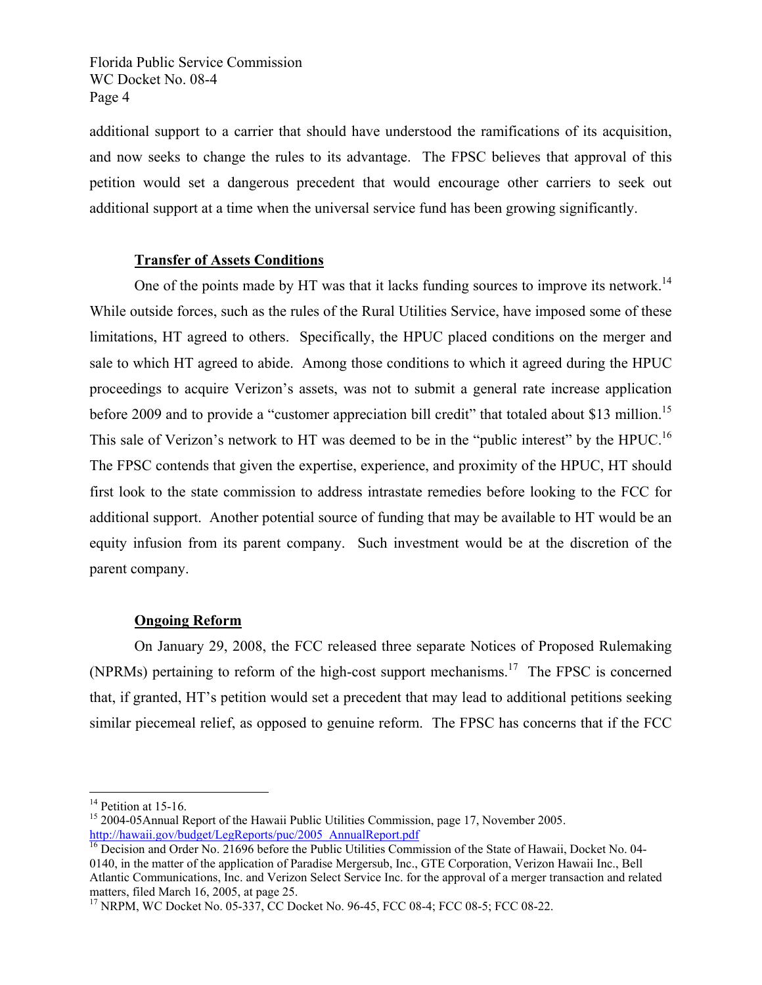additional support to a carrier that should have understood the ramifications of its acquisition, and now seeks to change the rules to its advantage. The FPSC believes that approval of this petition would set a dangerous precedent that would encourage other carriers to seek out additional support at a time when the universal service fund has been growing significantly.

#### **Transfer of Assets Conditions**

One of the points made by HT was that it lacks funding sources to improve its network.<sup>14</sup> While outside forces, such as the rules of the Rural Utilities Service, have imposed some of these limitations, HT agreed to others. Specifically, the HPUC placed conditions on the merger and sale to which HT agreed to abide. Among those conditions to which it agreed during the HPUC proceedings to acquire Verizon's assets, was not to submit a general rate increase application before 2009 and to provide a "customer appreciation bill credit" that totaled about \$13 million.<sup>15</sup> This sale of Verizon's network to HT was deemed to be in the "public interest" by the HPUC.<sup>16</sup> The FPSC contends that given the expertise, experience, and proximity of the HPUC, HT should first look to the state commission to address intrastate remedies before looking to the FCC for additional support. Another potential source of funding that may be available to HT would be an equity infusion from its parent company. Such investment would be at the discretion of the parent company.

#### **Ongoing Reform**

 On January 29, 2008, the FCC released three separate Notices of Proposed Rulemaking (NPRMs) pertaining to reform of the high-cost support mechanisms.<sup>17</sup> The FPSC is concerned that, if granted, HT's petition would set a precedent that may lead to additional petitions seeking similar piecemeal relief, as opposed to genuine reform. The FPSC has concerns that if the FCC

<u>.</u>

 $14$  Petition at 15-16.

<sup>&</sup>lt;sup>15</sup> 2004-05Annual Report of the Hawaii Public Utilities Commission, page 17, November 2005.<br>http://hawaii.gov/budget/LegReports/puc/2005\_AnnualReport.pdf

 $\frac{16}{16}$  Decision and Order No. 21696 before the Public Utilities Commission of the State of Hawaii, Docket No. 04-0140, in the matter of the application of Paradise Mergersub, Inc., GTE Corporation, Verizon Hawaii Inc., Bell Atlantic Communications, Inc. and Verizon Select Service Inc. for the approval of a merger transaction and related matters, filed March 16, 2005, at page 25.

<sup>17</sup> NRPM, WC Docket No. 05-337, CC Docket No. 96-45, FCC 08-4; FCC 08-5; FCC 08-22.